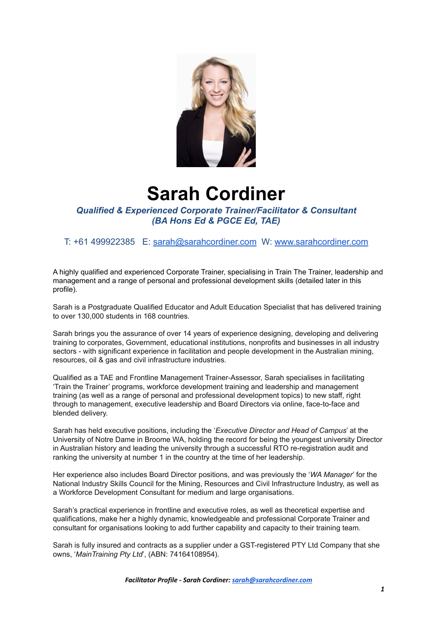

# **Sarah Cordiner**

*Qualified & Experienced Corporate Trainer/Facilitator & Consultant (BA Hons Ed & PGCE Ed, TAE)*

T: +61 499922385 E: [sarah@sarahcordiner.com](mailto:sarah@sarahcordiner.com) W: [www.sarahcordiner.com](http://www.sarahcordiner.com)

A highly qualified and experienced Corporate Trainer, specialising in Train The Trainer, leadership and management and a range of personal and professional development skills (detailed later in this profile).

Sarah is a Postgraduate Qualified Educator and Adult Education Specialist that has delivered training to over 130,000 students in 168 countries.

Sarah brings you the assurance of over 14 years of experience designing, developing and delivering training to corporates, Government, educational institutions, nonprofits and businesses in all industry sectors - with significant experience in facilitation and people development in the Australian mining, resources, oil & gas and civil infrastructure industries.

Qualified as a TAE and Frontline Management Trainer-Assessor, Sarah specialises in facilitating 'Train the Trainer' programs, workforce development training and leadership and management training (as well as a range of personal and professional development topics) to new staff, right through to management, executive leadership and Board Directors via online, face-to-face and blended delivery.

Sarah has held executive positions, including the '*Executive Director and Head of Campus*' at the University of Notre Dame in Broome WA, holding the record for being the youngest university Director in Australian history and leading the university through a successful RTO re-registration audit and ranking the university at number 1 in the country at the time of her leadership.

Her experience also includes Board Director positions, and was previously the '*WA Manager*' for the National Industry Skills Council for the Mining, Resources and Civil Infrastructure Industry, as well as a Workforce Development Consultant for medium and large organisations.

Sarah's practical experience in frontline and executive roles, as well as theoretical expertise and qualifications, make her a highly dynamic, knowledgeable and professional Corporate Trainer and consultant for organisations looking to add further capability and capacity to their training team.

Sarah is fully insured and contracts as a supplier under a GST-registered PTY Ltd Company that she owns, '*MainTraining Pty Ltd*', (ABN: 74164108954).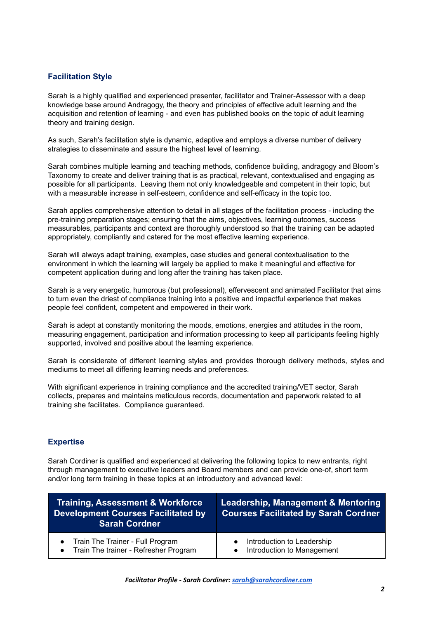## **Facilitation Style**

Sarah is a highly qualified and experienced presenter, facilitator and Trainer-Assessor with a deep knowledge base around Andragogy, the theory and principles of effective adult learning and the acquisition and retention of learning - and even has published books on the topic of adult learning theory and training design.

As such, Sarah's facilitation style is dynamic, adaptive and employs a diverse number of delivery strategies to disseminate and assure the highest level of learning.

Sarah combines multiple learning and teaching methods, confidence building, andragogy and Bloom's Taxonomy to create and deliver training that is as practical, relevant, contextualised and engaging as possible for all participants. Leaving them not only knowledgeable and competent in their topic, but with a measurable increase in self-esteem, confidence and self-efficacy in the topic too.

Sarah applies comprehensive attention to detail in all stages of the facilitation process - including the pre-training preparation stages; ensuring that the aims, objectives, learning outcomes, success measurables, participants and context are thoroughly understood so that the training can be adapted appropriately, compliantly and catered for the most effective learning experience.

Sarah will always adapt training, examples, case studies and general contextualisation to the environment in which the learning will largely be applied to make it meaningful and effective for competent application during and long after the training has taken place.

Sarah is a very energetic, humorous (but professional), effervescent and animated Facilitator that aims to turn even the driest of compliance training into a positive and impactful experience that makes people feel confident, competent and empowered in their work.

Sarah is adept at constantly monitoring the moods, emotions, energies and attitudes in the room, measuring engagement, participation and information processing to keep all participants feeling highly supported, involved and positive about the learning experience.

Sarah is considerate of different learning styles and provides thorough delivery methods, styles and mediums to meet all differing learning needs and preferences.

With significant experience in training compliance and the accredited training/VET sector, Sarah collects, prepares and maintains meticulous records, documentation and paperwork related to all training she facilitates. Compliance guaranteed.

### **Expertise**

Sarah Cordiner is qualified and experienced at delivering the following topics to new entrants, right through management to executive leaders and Board members and can provide one-of, short term and/or long term training in these topics at an introductory and advanced level:

| <u>Training, Assessment &amp; Workforce p</u><br><b>Development Courses Facilitated by</b><br><b>Sarah Cordner</b> | <b>Leadership, Management &amp; Mentoring</b><br><b>Courses Facilitated by Sarah Cordner</b> |
|--------------------------------------------------------------------------------------------------------------------|----------------------------------------------------------------------------------------------|
| • Train The Trainer - Full Program<br>Train The trainer - Refresher Program<br>$\bullet$                           | Introduction to Leadership<br>Introduction to Management                                     |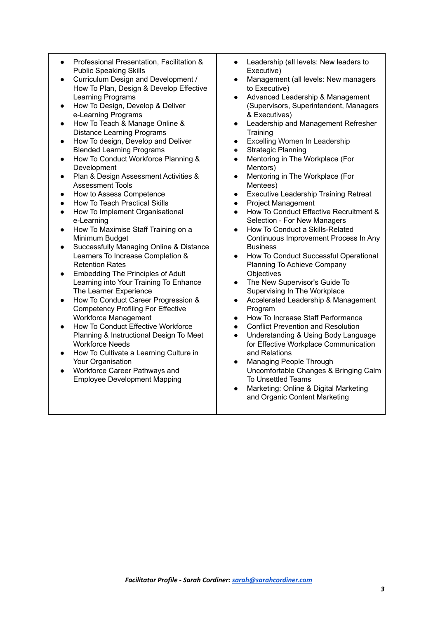- Professional Presentation, Facilitation & Public Speaking Skills
- Curriculum Design and Development / How To Plan, Design & Develop Effective Learning Programs
- How To Design, Develop & Deliver e-Learning Programs
- How To Teach & Manage Online & Distance Learning Programs
- How To design, Develop and Deliver Blended Learning Programs
- How To Conduct Workforce Planning & Development
- Plan & Design Assessment Activities & Assessment Tools
- How to Assess Competence
- **How To Teach Practical Skills**
- How To Implement Organisational e-Learning
- How To Maximise Staff Training on a Minimum Budget
- Successfully Managing Online & Distance Learners To Increase Completion & Retention Rates
- Embedding The Principles of Adult Learning into Your Training To Enhance The Learner Experience
- How To Conduct Career Progression & Competency Profiling For Effective Workforce Management
- How To Conduct Effective Workforce Planning & Instructional Design To Meet Workforce Needs
- How To Cultivate a Learning Culture in Your Organisation
- Workforce Career Pathways and Employee Development Mapping
- Leadership (all levels: New leaders to Executive)
- Management (all levels: New managers to Executive)
- Advanced Leadership & Management (Supervisors, Superintendent, Managers & Executives)
- Leadership and Management Refresher **Training**
- **Excelling Women In Leadership**
- Strategic Planning
- Mentoring in The Workplace (For Mentors)
- Mentoring in The Workplace (For Mentees)
- **Executive Leadership Training Retreat**
- Project Management
- How To Conduct Effective Recruitment & Selection - For New Managers
- How To Conduct a Skills-Related Continuous Improvement Process In Any Business
- **How To Conduct Successful Operational** Planning To Achieve Company **Objectives**
- The New Supervisor's Guide To Supervising In The Workplace
- Accelerated Leadership & Management Program
- How To Increase Staff Performance
- Conflict Prevention and Resolution
- Understanding & Using Body Language for Effective Workplace Communication and Relations
- **Managing People Through** Uncomfortable Changes & Bringing Calm To Unsettled Teams
- Marketing: Online & Digital Marketing and Organic Content Marketing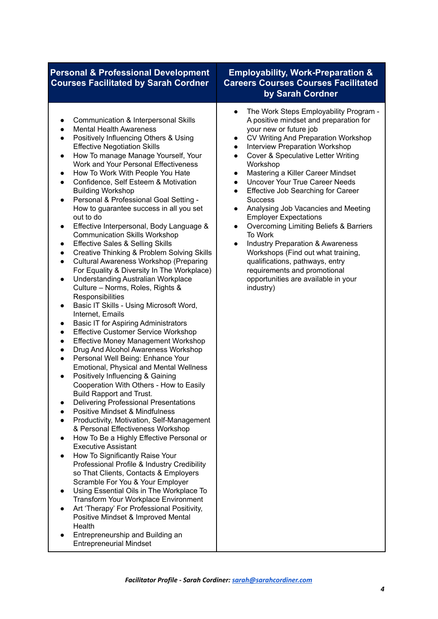## **Personal & Professional Development Courses Facilitated by Sarah Cordner**

- Communication & Interpersonal Skills
- Mental Health Awareness
- Positively Influencing Others & Using Effective Negotiation Skills
- How To manage Manage Yourself, Your Work and Your Personal Effectiveness
- How To Work With People You Hate
- Confidence, Self Esteem & Motivation Building Workshop
- Personal & Professional Goal Setting How to guarantee success in all you set out to do
- Effective Interpersonal, Body Language & Communication Skills Workshop
- **Effective Sales & Selling Skills**
- Creative Thinking & Problem Solving Skills
- Cultural Awareness Workshop (Preparing For Equality & Diversity In The Workplace)
- Understanding Australian Workplace Culture – Norms, Roles, Rights & **Responsibilities**
- Basic IT Skills Using Microsoft Word, Internet, Emails
- Basic IT for Aspiring Administrators
- Effective Customer Service Workshop
- **Effective Money Management Workshop**
- Drug And Alcohol Awareness Workshop
- Personal Well Being: Enhance Your Emotional, Physical and Mental Wellness
- Positively Influencing & Gaining Cooperation With Others - How to Easily Build Rapport and Trust.
- Delivering Professional Presentations
- Positive Mindset & Mindfulness
- **Productivity, Motivation, Self-Management** & Personal Effectiveness Workshop
- How To Be a Highly Effective Personal or Executive Assistant
- How To Significantly Raise Your Professional Profile & Industry Credibility so That Clients, Contacts & Employers Scramble For You & Your Employer
- Using Essential Oils in The Workplace To Transform Your Workplace Environment
- Art 'Therapy' For Professional Positivity, Positive Mindset & Improved Mental Health
- Entrepreneurship and Building an Entrepreneurial Mindset

## **Employability, Work-Preparation & Careers Courses Courses Facilitated by Sarah Cordner**

- The Work Steps Employability Program A positive mindset and preparation for your new or future job
- CV Writing And Preparation Workshop
- **Interview Preparation Workshop**
- Cover & Speculative Letter Writing Workshop
- **Mastering a Killer Career Mindset**
- Uncover Your True Career Needs
- **Effective Job Searching for Career Success**
- Analysing Job Vacancies and Meeting Employer Expectations
- Overcoming Limiting Beliefs & Barriers To Work
- **Industry Preparation & Awareness** Workshops (Find out what training, qualifications, pathways, entry requirements and promotional opportunities are available in your industry)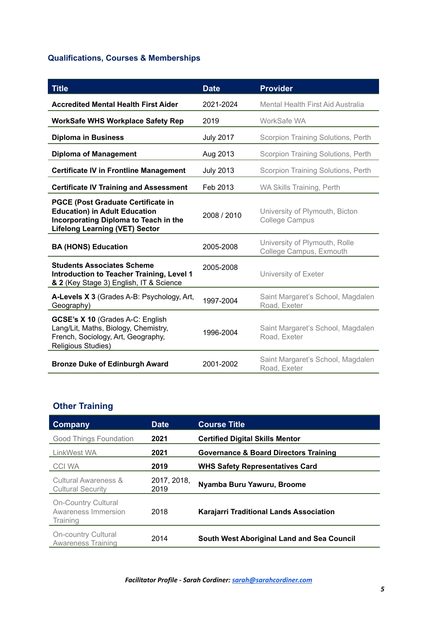# **Qualifications, Courses & Memberships**

| <b>Title</b>                                                                                                                                                        | <b>Date</b>      | <b>Provider</b>                                          |
|---------------------------------------------------------------------------------------------------------------------------------------------------------------------|------------------|----------------------------------------------------------|
| <b>Accredited Mental Health First Aider</b>                                                                                                                         | 2021-2024        | Mental Health First Aid Australia                        |
| <b>WorkSafe WHS Workplace Safety Rep</b>                                                                                                                            | 2019             | WorkSafe WA                                              |
| <b>Diploma in Business</b>                                                                                                                                          | <b>July 2017</b> | Scorpion Training Solutions, Perth                       |
| <b>Diploma of Management</b>                                                                                                                                        | Aug 2013         | Scorpion Training Solutions, Perth                       |
| <b>Certificate IV in Frontline Management</b>                                                                                                                       | <b>July 2013</b> | Scorpion Training Solutions, Perth                       |
| <b>Certificate IV Training and Assessment</b>                                                                                                                       | Feb 2013         | WA Skills Training, Perth                                |
| <b>PGCE (Post Graduate Certificate in</b><br><b>Education) in Adult Education</b><br>Incorporating Diploma to Teach in the<br><b>Lifelong Learning (VET) Sector</b> | 2008 / 2010      | University of Plymouth, Bicton<br><b>College Campus</b>  |
| <b>BA (HONS) Education</b>                                                                                                                                          | 2005-2008        | University of Plymouth, Rolle<br>College Campus, Exmouth |
| <b>Students Associates Scheme</b><br><b>Introduction to Teacher Training, Level 1</b><br>& 2 (Key Stage 3) English, IT & Science                                    | 2005-2008        | University of Exeter                                     |
| A-Levels X 3 (Grades A-B: Psychology, Art,<br>Geography)                                                                                                            | 1997-2004        | Saint Margaret's School, Magdalen<br>Road, Exeter        |
| GCSE's X 10 (Grades A-C: English<br>Lang/Lit, Maths, Biology, Chemistry,<br>French, Sociology, Art, Geography,<br>Religious Studies)                                | 1996-2004        | Saint Margaret's School, Magdalen<br>Road, Exeter        |
| <b>Bronze Duke of Edinburgh Award</b>                                                                                                                               | 2001-2002        | Saint Margaret's School, Magdalen<br>Road, Exeter        |

## **Other Training**

| Company                                                       | <b>Date</b>         | <b>Course Title</b>                            |
|---------------------------------------------------------------|---------------------|------------------------------------------------|
| <b>Good Things Foundation</b>                                 | 2021                | <b>Certified Digital Skills Mentor</b>         |
| LinkWest WA                                                   | 2021                | Governance & Board Directors Training          |
| CCI WA                                                        | 2019                | <b>WHS Safety Representatives Card</b>         |
| Cultural Awareness &<br><b>Cultural Security</b>              | 2017, 2018,<br>2019 | Nyamba Buru Yawuru, Broome                     |
| <b>On-Country Cultural</b><br>Awareness Immersion<br>Training | 2018                | <b>Karajarri Traditional Lands Association</b> |
| <b>On-country Cultural</b><br><b>Awareness Training</b>       | 2014                | South West Aboriginal Land and Sea Council     |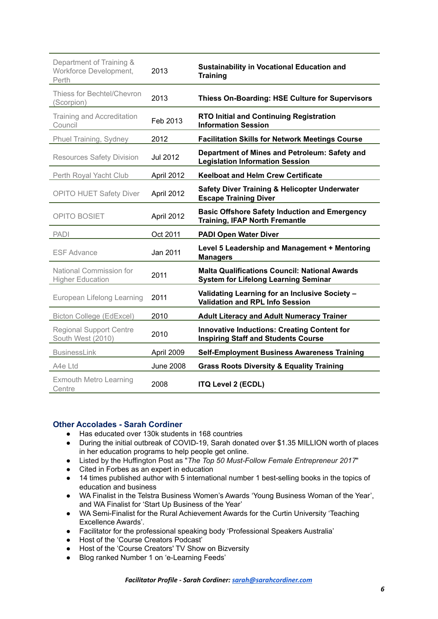| Department of Training &<br>Workforce Development,<br>Perth | 2013             | <b>Sustainability in Vocational Education and</b><br><b>Training</b>                                |
|-------------------------------------------------------------|------------------|-----------------------------------------------------------------------------------------------------|
| Thiess for Bechtel/Chevron<br>(Scorpion)                    | 2013             | Thiess On-Boarding: HSE Culture for Supervisors                                                     |
| <b>Training and Accreditation</b><br>Council                | Feb 2013         | <b>RTO Initial and Continuing Registration</b><br><b>Information Session</b>                        |
| Phuel Training, Sydney                                      | 2012             | <b>Facilitation Skills for Network Meetings Course</b>                                              |
| <b>Resources Safety Division</b>                            | Jul 2012         | Department of Mines and Petroleum: Safety and<br><b>Legislation Information Session</b>             |
| Perth Royal Yacht Club                                      | April 2012       | <b>Keelboat and Helm Crew Certificate</b>                                                           |
| <b>OPITO HUET Safety Diver</b>                              | April 2012       | <b>Safety Diver Training &amp; Helicopter Underwater</b><br><b>Escape Training Diver</b>            |
| <b>OPITO BOSIET</b>                                         | April 2012       | <b>Basic Offshore Safety Induction and Emergency</b><br><b>Training, IFAP North Fremantle</b>       |
| <b>PADI</b>                                                 | Oct 2011         | <b>PADI Open Water Diver</b>                                                                        |
| <b>ESF Advance</b>                                          | Jan 2011         | Level 5 Leadership and Management + Mentoring<br><b>Managers</b>                                    |
| National Commission for<br><b>Higher Education</b>          | 2011             | <b>Malta Qualifications Council: National Awards</b><br><b>System for Lifelong Learning Seminar</b> |
| European Lifelong Learning                                  | 2011             | Validating Learning for an Inclusive Society -<br><b>Validation and RPL Info Session</b>            |
| Bicton College (EdExcel)                                    | 2010             | <b>Adult Literacy and Adult Numeracy Trainer</b>                                                    |
| <b>Regional Support Centre</b><br>South West (2010)         | 2010             | <b>Innovative Inductions: Creating Content for</b><br><b>Inspiring Staff and Students Course</b>    |
|                                                             |                  |                                                                                                     |
| <b>BusinessLink</b>                                         | April 2009       | <b>Self-Employment Business Awareness Training</b>                                                  |
| A4e Ltd                                                     | <b>June 2008</b> | <b>Grass Roots Diversity &amp; Equality Training</b>                                                |

### **Other Accolades - Sarah Cordiner**

- Has educated over 130k students in 168 countries
- During the initial outbreak of COVID-19, Sarah donated over \$1.35 MILLION worth of places in her education programs to help people get online.
- Listed by the Huffington Post as "*The Top 50 Must-Follow Female Entrepreneur 2017*"
- Cited in Forbes as an expert in education
- 14 times published author with 5 international number 1 best-selling books in the topics of education and business
- WA Finalist in the Telstra Business Women's Awards 'Young Business Woman of the Year', and WA Finalist for 'Start Up Business of the Year'
- WA Semi-Finalist for the Rural Achievement Awards for the Curtin University 'Teaching Excellence Awards'.
- Facilitator for the professional speaking body 'Professional Speakers Australia'
- Host of the 'Course Creators Podcast'
- Host of the 'Course Creators' TV Show on Bizversity
- Blog ranked Number 1 on 'e-Learning Feeds'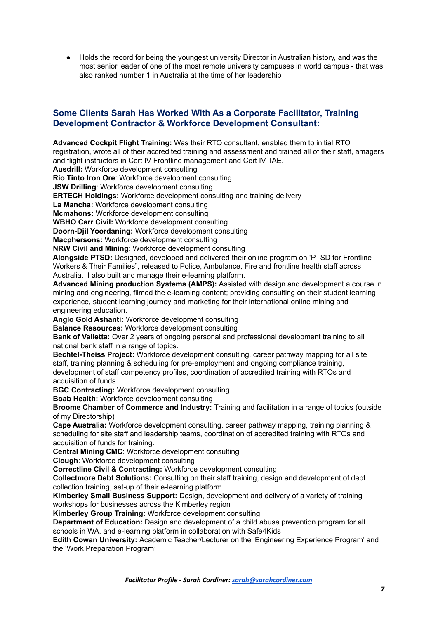● Holds the record for being the youngest university Director in Australian history, and was the most senior leader of one of the most remote university campuses in world campus - that was also ranked number 1 in Australia at the time of her leadership

## **Some Clients Sarah Has Worked With As a Corporate Facilitator, Training Development Contractor & Workforce Development Consultant:**

**Advanced Cockpit Flight Training:** Was their RTO consultant, enabled them to initial RTO registration, wrote all of their accredited training and assessment and trained all of their staff, amagers and flight instructors in Cert IV Frontline management and Cert IV TAE.

**Ausdrill:** Workforce development consulting

**Rio Tinto Iron Ore**: Workforce development consulting

**JSW Drilling**: Workforce development consulting

**ERTECH Holdings:** Workforce development consulting and training delivery

**La Mancha:** Workforce development consulting

**Mcmahons:** Workforce development consulting

**WBHO Carr Civil:** Workforce development consulting

**Doorn-Djil Yoordaning:** Workforce development consulting

**Macphersons:** Workforce development consulting

**NRW Civil and Mining**: Workforce development consulting

**Alongside PTSD:** Designed, developed and delivered their online program on 'PTSD for Frontline Workers & Their Families", released to Police, Ambulance, Fire and frontline health staff across Australia. I also built and manage their e-learning platform.

**Advanced Mining production Systems (AMPS):** Assisted with design and development a course in mining and engineering, filmed the e-learning content; providing consulting on their student learning experience, student learning journey and marketing for their international online mining and engineering education.

**Anglo Gold Ashanti:** Workforce development consulting

**Balance Resources:** Workforce development consulting

**Bank of Valletta:** Over 2 years of ongoing personal and professional development training to all national bank staff in a range of topics.

**Bechtel-Theiss Project:** Workforce development consulting, career pathway mapping for all site staff, training planning & scheduling for pre-employment and ongoing compliance training, development of staff competency profiles, coordination of accredited training with RTOs and acquisition of funds.

**BGC Contracting:** Workforce development consulting

**Boab Health:** Workforce development consulting

**Broome Chamber of Commerce and Industry:** Training and facilitation in a range of topics (outside of my Directorship)

**Cape Australia:** Workforce development consulting, career pathway mapping, training planning & scheduling for site staff and leadership teams, coordination of accredited training with RTOs and acquisition of funds for training.

**Central Mining CMC**: Workforce development consulting

**Clough**: Workforce development consulting

**Correctline Civil & Contracting:** Workforce development consulting

**Collectmore Debt Solutions:** Consulting on their staff training, design and development of debt collection training, set-up of their e-learning platform.

**Kimberley Small Business Support:** Design, development and delivery of a variety of training workshops for businesses across the Kimberley region

**Kimberley Group Training:** Workforce development consulting

**Department of Education:** Design and development of a child abuse prevention program for all schools in WA, and e-learning platform in collaboration with Safe4Kids

**Edith Cowan University:** Academic Teacher/Lecturer on the 'Engineering Experience Program' and the 'Work Preparation Program'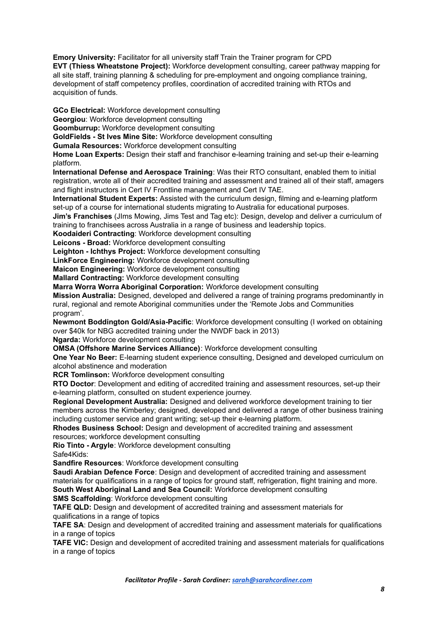**Emory University:** Facilitator for all university staff Train the Trainer program for CPD **EVT (Thiess Wheatstone Project):** Workforce development consulting, career pathway mapping for all site staff, training planning & scheduling for pre-employment and ongoing compliance training, development of staff competency profiles, coordination of accredited training with RTOs and acquisition of funds.

**GCo Electrical:** Workforce development consulting

**Georgiou**: Workforce development consulting

**Goomburrup:** Workforce development consulting

**GoldFields - St Ives Mine Site:** Workforce development consulting

**Gumala Resources:** Workforce development consulting

**Home Loan Experts:** Design their staff and franchisor e-learning training and set-up their e-learning platform.

**International Defense and Aerospace Training**: Was their RTO consultant, enabled them to initial registration, wrote all of their accredited training and assessment and trained all of their staff, amagers and flight instructors in Cert IV Frontline management and Cert IV TAE.

**International Student Experts:** Assisted with the curriculum design, filming and e-learning platform set-up of a course for international students migrating to Australia for educational purposes.

**Jim's Franchises** (JIms Mowing, Jims Test and Tag etc): Design, develop and deliver a curriculum of training to franchisees across Australia in a range of business and leadership topics.

**Koodaideri Contracting**: Workforce development consulting

**Leicons - Broad:** Workforce development consulting

**Leighton - Ichthys Project:** Workforce development consulting

**LinkForce Engineering:** Workforce development consulting

**Maicon Engineering:** Workforce development consulting

**Mallard Contracting:** Workforce development consulting

**Marra Worra Worra Aboriginal Corporation:** Workforce development consulting

**Mission Australia:** Designed, developed and delivered a range of training programs predominantly in rural, regional and remote Aboriginal communities under the 'Remote Jobs and Communities program'.

**Newmont Boddington Gold/Asia-Pacific**: Workforce development consulting (I worked on obtaining over \$40k for NBG accredited training under the NWDF back in 2013)

**Ngarda:** Workforce development consulting

**OMSA (Offshore Marine Services Alliance)**: Workforce development consulting

**One Year No Beer:** E-learning student experience consulting, Designed and developed curriculum on alcohol abstinence and moderation

**RCR Tomlinson:** Workforce development consulting

**RTO Doctor**: Development and editing of accredited training and assessment resources, set-up their e-learning platform, consulted on student experience journey.

**Regional Development Australia:** Designed and delivered workforce development training to tier members across the Kimberley; designed, developed and delivered a range of other business training including customer service and grant writing; set-up their e-learning platform.

**Rhodes Business School:** Design and development of accredited training and assessment resources; workforce development consulting

**Rio Tinto - Argyle**: Workforce development consulting Safe4Kids:

**Sandfire Resources**: Workforce development consulting

**Saudi Arabian Defence Force**: Design and development of accredited training and assessment materials for qualifications in a range of topics for ground staff, refrigeration, flight training and more.

**South West Aboriginal Land and Sea Council:** Workforce development consulting **SMS Scaffolding**: Workforce development consulting

**TAFE QLD:** Design and development of accredited training and assessment materials for qualifications in a range of topics

**TAFE SA**: Design and development of accredited training and assessment materials for qualifications in a range of topics

**TAFE VIC:** Design and development of accredited training and assessment materials for qualifications in a range of topics